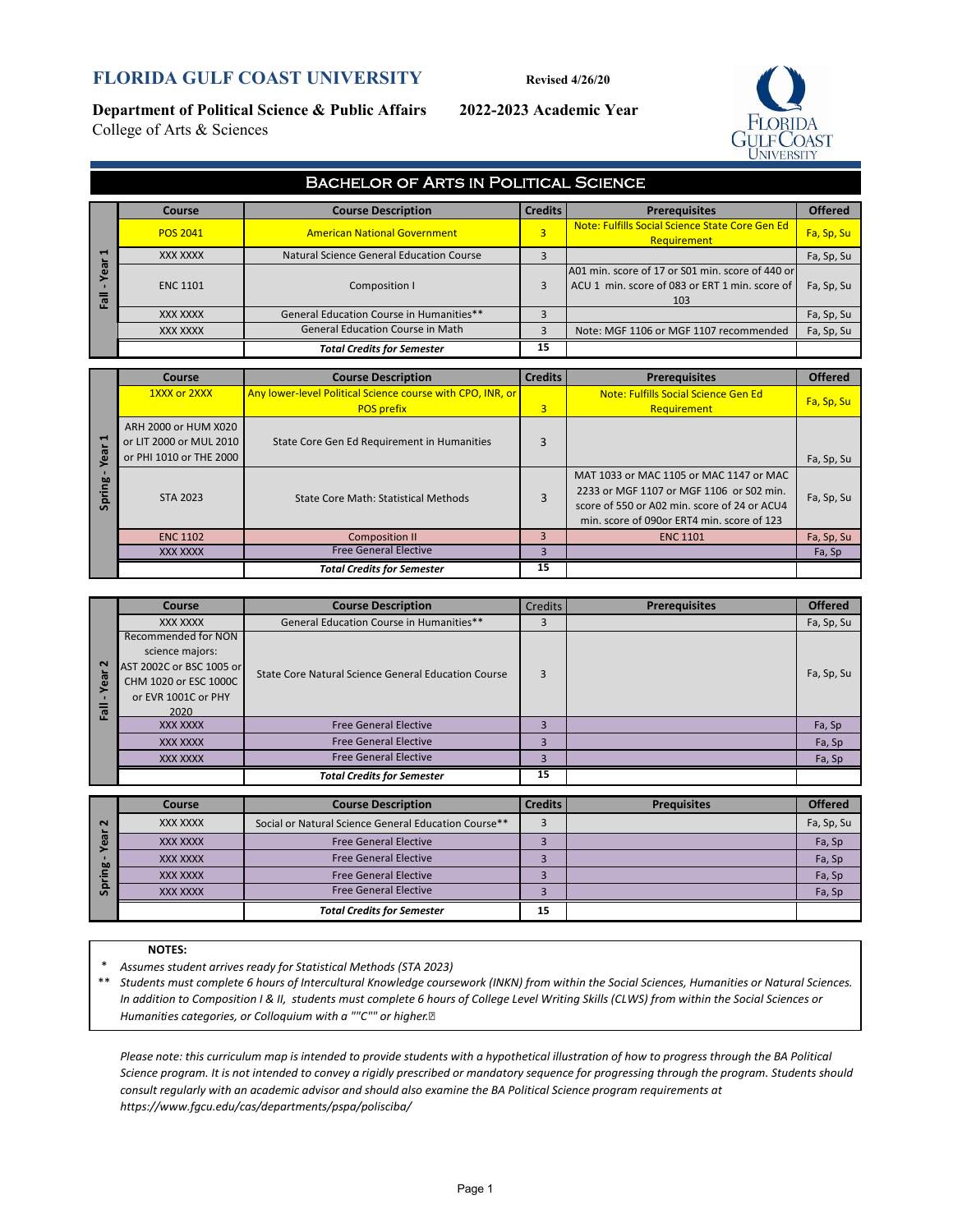#### **FLORIDA GULF COAST UNIVERSITY Revised 4/26/20**

**Department of Political Science & Public Affairs 2022-2023 Academic Year** College of Arts & Sciences



|               | <b>BACHELOR OF ARTS IN POLITICAL SCIENCE</b> |                                          |                |                                                                                                           |                |  |  |  |
|---------------|----------------------------------------------|------------------------------------------|----------------|-----------------------------------------------------------------------------------------------------------|----------------|--|--|--|
|               | Course                                       | <b>Course Description</b>                | <b>Credits</b> | <b>Prerequisites</b>                                                                                      | <b>Offered</b> |  |  |  |
|               | <b>POS 2041</b>                              | <b>American National Government</b>      | 3              | Note: Fulfills Social Science State Core Gen Ed<br>Requirement                                            | Fa, Sp, Su     |  |  |  |
| −             | <b>XXX XXXX</b>                              | Natural Science General Education Course |                |                                                                                                           | Fa, Sp, Su     |  |  |  |
| ā<br>$\sigma$ | <b>ENC 1101</b>                              | Composition I                            |                | A01 min. score of 17 or S01 min. score of 440 or<br>ACU 1 min. score of 083 or ERT 1 min. score of<br>103 | Fa, Sp, Su     |  |  |  |
|               | <b>XXX XXXX</b>                              | General Education Course in Humanities** |                |                                                                                                           | Fa, Sp, Su     |  |  |  |
|               | <b>XXX XXXX</b>                              | <b>General Education Course in Math</b>  |                | Note: MGF 1106 or MGF 1107 recommended                                                                    | Fa, Sp, Su     |  |  |  |
|               |                                              | <b>Total Credits for Semester</b>        | 15             |                                                                                                           |                |  |  |  |

| −                            | XXX XXXX                                                                   | Natural Science General Education Course                   | 3              |                                                                                                                                                                                   | Fa, Sp, Su     |
|------------------------------|----------------------------------------------------------------------------|------------------------------------------------------------|----------------|-----------------------------------------------------------------------------------------------------------------------------------------------------------------------------------|----------------|
| ear<br><b>Fall</b>           | <b>ENC 1101</b>                                                            | Composition I                                              | 3              | A01 min. score of 17 or S01 min. score of 440 or<br>ACU 1 min. score of 083 or ERT 1 min. score of<br>103                                                                         | Fa, Sp, Su     |
|                              | XXX XXXX                                                                   | General Education Course in Humanities**                   | 3              |                                                                                                                                                                                   | Fa, Sp, Su     |
|                              | XXX XXXX                                                                   | <b>General Education Course in Math</b>                    | 3              | Note: MGF 1106 or MGF 1107 recommended                                                                                                                                            | Fa, Sp, Su     |
|                              |                                                                            | <b>Total Credits for Semester</b>                          | 15             |                                                                                                                                                                                   |                |
|                              |                                                                            |                                                            | <b>Credits</b> |                                                                                                                                                                                   |                |
|                              | <b>Course</b>                                                              | <b>Course Description</b>                                  |                | <b>Prerequisites</b>                                                                                                                                                              | <b>Offered</b> |
|                              | 1XXX or 2XXX                                                               | Any lower-level Political Science course with CPO, INR, or |                | <b>Note: Fulfills Social Science Gen Ed.</b>                                                                                                                                      | Fa, Sp, Su     |
|                              |                                                                            | <b>POS prefix</b>                                          | 3              | <b>Requirement</b>                                                                                                                                                                |                |
| $\mathbf{\mathbf{t}}$<br>ear | ARH 2000 or HUM X020<br>or LIT 2000 or MUL 2010<br>or PHI 1010 or THE 2000 | State Core Gen Ed Requirement in Humanities                | 3              |                                                                                                                                                                                   | Fa, Sp, Su     |
| Spring                       | <b>STA 2023</b>                                                            | <b>State Core Math: Statistical Methods</b>                | 3              | MAT 1033 or MAC 1105 or MAC 1147 or MAC<br>2233 or MGF 1107 or MGF 1106 or S02 min.<br>score of 550 or A02 min. score of 24 or ACU4<br>min. score of 090or ERT4 min. score of 123 | Fa, Sp, Su     |
|                              | <b>ENC 1102</b>                                                            | <b>Composition II</b>                                      | 3              | <b>ENC 1101</b>                                                                                                                                                                   | Fa, Sp, Su     |
|                              | <b>XXX XXXX</b>                                                            | <b>Free General Elective</b>                               | 3              |                                                                                                                                                                                   | Fa, Sp         |
|                              |                                                                            |                                                            |                |                                                                                                                                                                                   |                |

|                   | Course                   | <b>Course Description</b>                           | <b>Credits</b> | <b>Prerequisites</b> | <b>Offered</b> |
|-------------------|--------------------------|-----------------------------------------------------|----------------|----------------------|----------------|
|                   | XXX XXXX                 | General Education Course in Humanities**            |                |                      | Fa, Sp, Su     |
|                   | Recommended for NON      |                                                     |                |                      |                |
|                   | science majors:          |                                                     |                |                      |                |
| $\mathbf{\Omega}$ | AST 2002C or BSC 1005 or | State Core Natural Science General Education Course | 3              |                      | Fa, Sp, Su     |
| ෂී                | CHM 1020 or ESC 1000C    |                                                     |                |                      |                |
|                   | or EVR 1001C or PHY      |                                                     |                |                      |                |
| 高                 | 2020                     |                                                     |                |                      |                |
|                   | <b>XXX XXXX</b>          | <b>Free General Elective</b>                        |                |                      | Fa, Sp         |
|                   | <b>XXX XXXX</b>          | <b>Free General Elective</b>                        | 3              |                      | Fa, Sp         |
|                   | <b>XXX XXXX</b>          | <b>Free General Elective</b>                        | 3              |                      | Fa, Sp         |
|                   |                          | <b>Total Credits for Semester</b>                   | 15             |                      |                |

| $\sim$ | Course   | <b>Course Description</b>                            | <b>Credits</b> | <b>Prequisites</b> | <b>Offered</b> |
|--------|----------|------------------------------------------------------|----------------|--------------------|----------------|
|        | XXX XXXX | Social or Natural Science General Education Course** |                |                    | Fa, Sp, Su     |
|        | XXX XXXX | <b>Free General Elective</b>                         |                |                    | Fa, Sp         |
| 60     | XXX XXXX | <b>Free General Elective</b>                         |                |                    | Fa, Sp         |
|        | XXX XXXX | <b>Free General Elective</b>                         |                |                    | Fa, Sp         |
|        | XXX XXXX | <b>Free General Elective</b>                         |                |                    | Fa, Sp         |
|        |          | <b>Total Credits for Semester</b>                    | 15             |                    |                |

#### **NOTES:**

\* *Assumes student arrives ready for Statistical Methods (STA 2023)*

\*\* *Students must complete 6 hours of Intercultural Knowledge coursework (INKN) from within the Social Sciences, Humanities or Natural Sciences. In addition to Composition I & II, students must complete 6 hours of College Level Writing Skills (CLWS) from within the Social Sciences or Humanities categories, or Colloquium with a ""C"" or higher.* 

*Please note: this curriculum map is intended to provide students with a hypothetical illustration of how to progress through the BA Political Science program. It is not intended to convey a rigidly prescribed or mandatory sequence for progressing through the program. Students should consult regularly with an academic advisor and should also examine the BA Political Science program requirements at https://www.fgcu.edu/cas/departments/pspa/polisciba/*